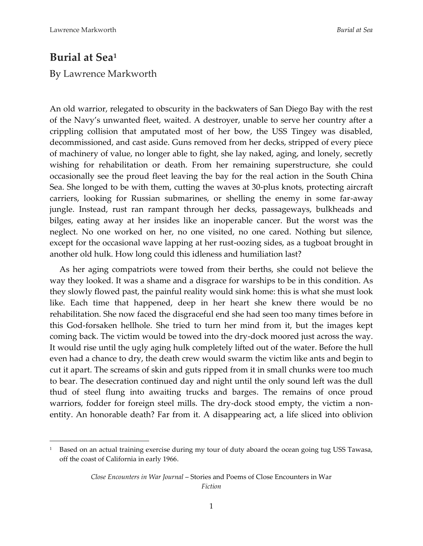## **Burial at Sea<sup>1</sup>**

## By Lawrence Markworth

An old warrior, relegated to obscurity in the backwaters of San Diego Bay with the rest of the Navy's unwanted fleet, waited. A destroyer, unable to serve her country after a crippling collision that amputated most of her bow, the USS Tingey was disabled, decommissioned, and cast aside. Guns removed from her decks, stripped of every piece of machinery of value, no longer able to fight, she lay naked, aging, and lonely, secretly wishing for rehabilitation or death. From her remaining superstructure, she could occasionally see the proud fleet leaving the bay for the real action in the South China Sea. She longed to be with them, cutting the waves at 30-plus knots, protecting aircraft carriers, looking for Russian submarines, or shelling the enemy in some far-away jungle. Instead, rust ran rampant through her decks, passageways, bulkheads and bilges, eating away at her insides like an inoperable cancer. But the worst was the neglect. No one worked on her, no one visited, no one cared. Nothing but silence, except for the occasional wave lapping at her rust-oozing sides, as a tugboat brought in another old hulk. How long could this idleness and humiliation last?

As her aging compatriots were towed from their berths, she could not believe the way they looked. It was a shame and a disgrace for warships to be in this condition. As they slowly flowed past, the painful reality would sink home: this is what she must look like. Each time that happened, deep in her heart she knew there would be no rehabilitation. She now faced the disgraceful end she had seen too many times before in this God-forsaken hellhole. She tried to turn her mind from it, but the images kept coming back. The victim would be towed into the dry-dock moored just across the way. It would rise until the ugly aging hulk completely lifted out of the water. Before the hull even had a chance to dry, the death crew would swarm the victim like ants and begin to cut it apart. The screams of skin and guts ripped from it in small chunks were too much to bear. The desecration continued day and night until the only sound left was the dull thud of steel flung into awaiting trucks and barges. The remains of once proud warriors, fodder for foreign steel mills. The dry-dock stood empty, the victim a nonentity. An honorable death? Far from it. A disappearing act, a life sliced into oblivion

<sup>&</sup>lt;sup>1</sup> Based on an actual training exercise during my tour of duty aboard the ocean going tug USS Tawasa, off the coast of California in early 1966.

*Close Encounters in War Journal* – Stories and Poems of Close Encounters in War *Fiction*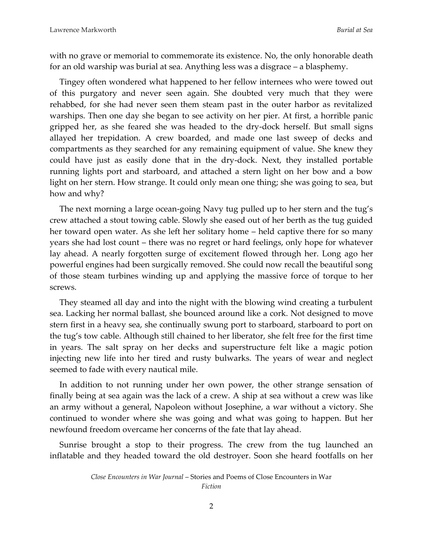with no grave or memorial to commemorate its existence. No, the only honorable death for an old warship was burial at sea. Anything less was a disgrace – a blasphemy.

Tingey often wondered what happened to her fellow internees who were towed out of this purgatory and never seen again. She doubted very much that they were rehabbed, for she had never seen them steam past in the outer harbor as revitalized warships. Then one day she began to see activity on her pier. At first, a horrible panic gripped her, as she feared she was headed to the dry-dock herself. But small signs allayed her trepidation. A crew boarded, and made one last sweep of decks and compartments as they searched for any remaining equipment of value. She knew they could have just as easily done that in the dry-dock. Next, they installed portable running lights port and starboard, and attached a stern light on her bow and a bow light on her stern. How strange. It could only mean one thing; she was going to sea, but how and why?

The next morning a large ocean-going Navy tug pulled up to her stern and the tug's crew attached a stout towing cable. Slowly she eased out of her berth as the tug guided her toward open water. As she left her solitary home – held captive there for so many years she had lost count – there was no regret or hard feelings, only hope for whatever lay ahead. A nearly forgotten surge of excitement flowed through her. Long ago her powerful engines had been surgically removed. She could now recall the beautiful song of those steam turbines winding up and applying the massive force of torque to her screws.

They steamed all day and into the night with the blowing wind creating a turbulent sea. Lacking her normal ballast, she bounced around like a cork. Not designed to move stern first in a heavy sea, she continually swung port to starboard, starboard to port on the tug's tow cable. Although still chained to her liberator, she felt free for the first time in years. The salt spray on her decks and superstructure felt like a magic potion injecting new life into her tired and rusty bulwarks. The years of wear and neglect seemed to fade with every nautical mile.

In addition to not running under her own power, the other strange sensation of finally being at sea again was the lack of a crew. A ship at sea without a crew was like an army without a general, Napoleon without Josephine, a war without a victory. She continued to wonder where she was going and what was going to happen. But her newfound freedom overcame her concerns of the fate that lay ahead.

Sunrise brought a stop to their progress. The crew from the tug launched an inflatable and they headed toward the old destroyer. Soon she heard footfalls on her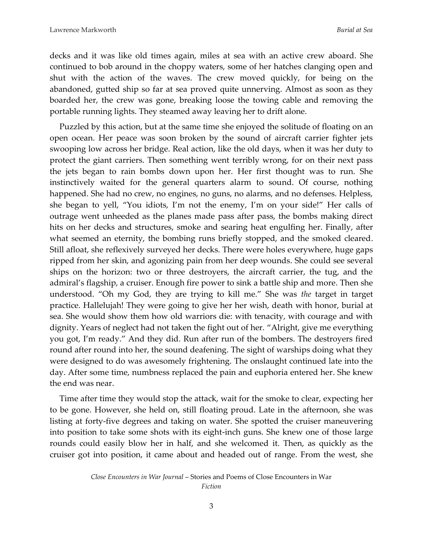decks and it was like old times again, miles at sea with an active crew aboard. She continued to bob around in the choppy waters, some of her hatches clanging open and shut with the action of the waves. The crew moved quickly, for being on the abandoned, gutted ship so far at sea proved quite unnerving. Almost as soon as they boarded her, the crew was gone, breaking loose the towing cable and removing the portable running lights. They steamed away leaving her to drift alone.

Puzzled by this action, but at the same time she enjoyed the solitude of floating on an open ocean. Her peace was soon broken by the sound of aircraft carrier fighter jets swooping low across her bridge. Real action, like the old days, when it was her duty to protect the giant carriers. Then something went terribly wrong, for on their next pass the jets began to rain bombs down upon her. Her first thought was to run. She instinctively waited for the general quarters alarm to sound. Of course, nothing happened. She had no crew, no engines, no guns, no alarms, and no defenses. Helpless, she began to yell, "You idiots, I'm not the enemy, I'm on your side!" Her calls of outrage went unheeded as the planes made pass after pass, the bombs making direct hits on her decks and structures, smoke and searing heat engulfing her. Finally, after what seemed an eternity, the bombing runs briefly stopped, and the smoked cleared. Still afloat, she reflexively surveyed her decks. There were holes everywhere, huge gaps ripped from her skin, and agonizing pain from her deep wounds. She could see several ships on the horizon: two or three destroyers, the aircraft carrier, the tug, and the admiral's flagship, a cruiser. Enough fire power to sink a battle ship and more. Then she understood. "Oh my God, they are trying to kill me." She was *the* target in target practice. Hallelujah! They were going to give her her wish, death with honor, burial at sea. She would show them how old warriors die: with tenacity, with courage and with dignity. Years of neglect had not taken the fight out of her. "Alright, give me everything you got, I'm ready." And they did. Run after run of the bombers. The destroyers fired round after round into her, the sound deafening. The sight of warships doing what they were designed to do was awesomely frightening. The onslaught continued late into the day. After some time, numbness replaced the pain and euphoria entered her. She knew the end was near.

Time after time they would stop the attack, wait for the smoke to clear, expecting her to be gone. However, she held on, still floating proud. Late in the afternoon, she was listing at forty-five degrees and taking on water. She spotted the cruiser maneuvering into position to take some shots with its eight-inch guns. She knew one of those large rounds could easily blow her in half, and she welcomed it. Then, as quickly as the cruiser got into position, it came about and headed out of range. From the west, she